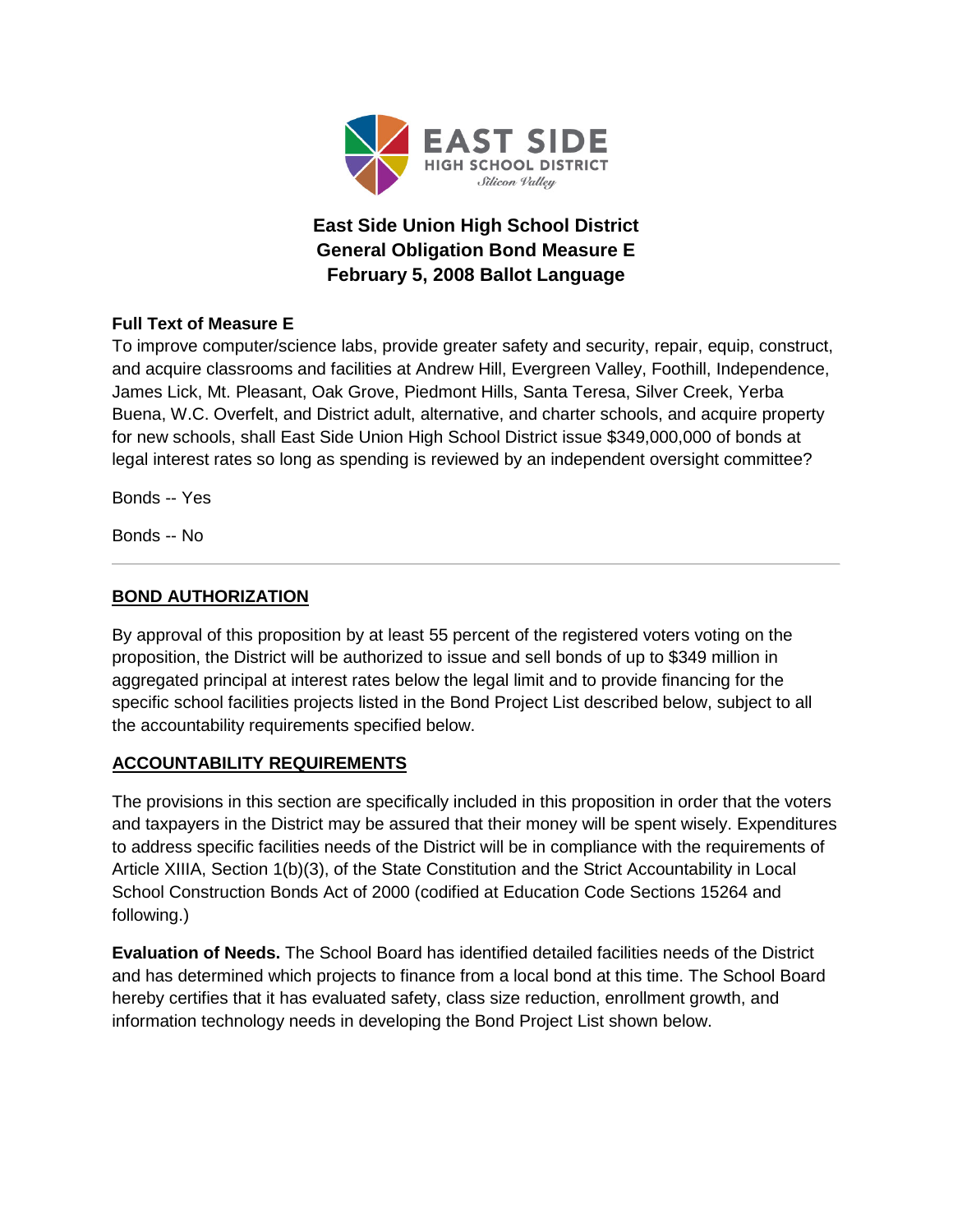

# **East Side Union High School District General Obligation Bond Measure E February 5, 2008 Ballot Language**

# **Full Text of Measure E**

To improve computer/science labs, provide greater safety and security, repair, equip, construct, and acquire classrooms and facilities at Andrew Hill, Evergreen Valley, Foothill, Independence, James Lick, Mt. Pleasant, Oak Grove, Piedmont Hills, Santa Teresa, Silver Creek, Yerba Buena, W.C. Overfelt, and District adult, alternative, and charter schools, and acquire property for new schools, shall East Side Union High School District issue \$349,000,000 of bonds at legal interest rates so long as spending is reviewed by an independent oversight committee?

Bonds -- Yes

Bonds -- No

# **BOND AUTHORIZATION**

By approval of this proposition by at least 55 percent of the registered voters voting on the proposition, the District will be authorized to issue and sell bonds of up to \$349 million in aggregated principal at interest rates below the legal limit and to provide financing for the specific school facilities projects listed in the Bond Project List described below, subject to all the accountability requirements specified below.

### **ACCOUNTABILITY REQUIREMENTS**

The provisions in this section are specifically included in this proposition in order that the voters and taxpayers in the District may be assured that their money will be spent wisely. Expenditures to address specific facilities needs of the District will be in compliance with the requirements of Article XIIIA, Section 1(b)(3), of the State Constitution and the Strict Accountability in Local School Construction Bonds Act of 2000 (codified at Education Code Sections 15264 and following.)

**Evaluation of Needs.** The School Board has identified detailed facilities needs of the District and has determined which projects to finance from a local bond at this time. The School Board hereby certifies that it has evaluated safety, class size reduction, enrollment growth, and information technology needs in developing the Bond Project List shown below.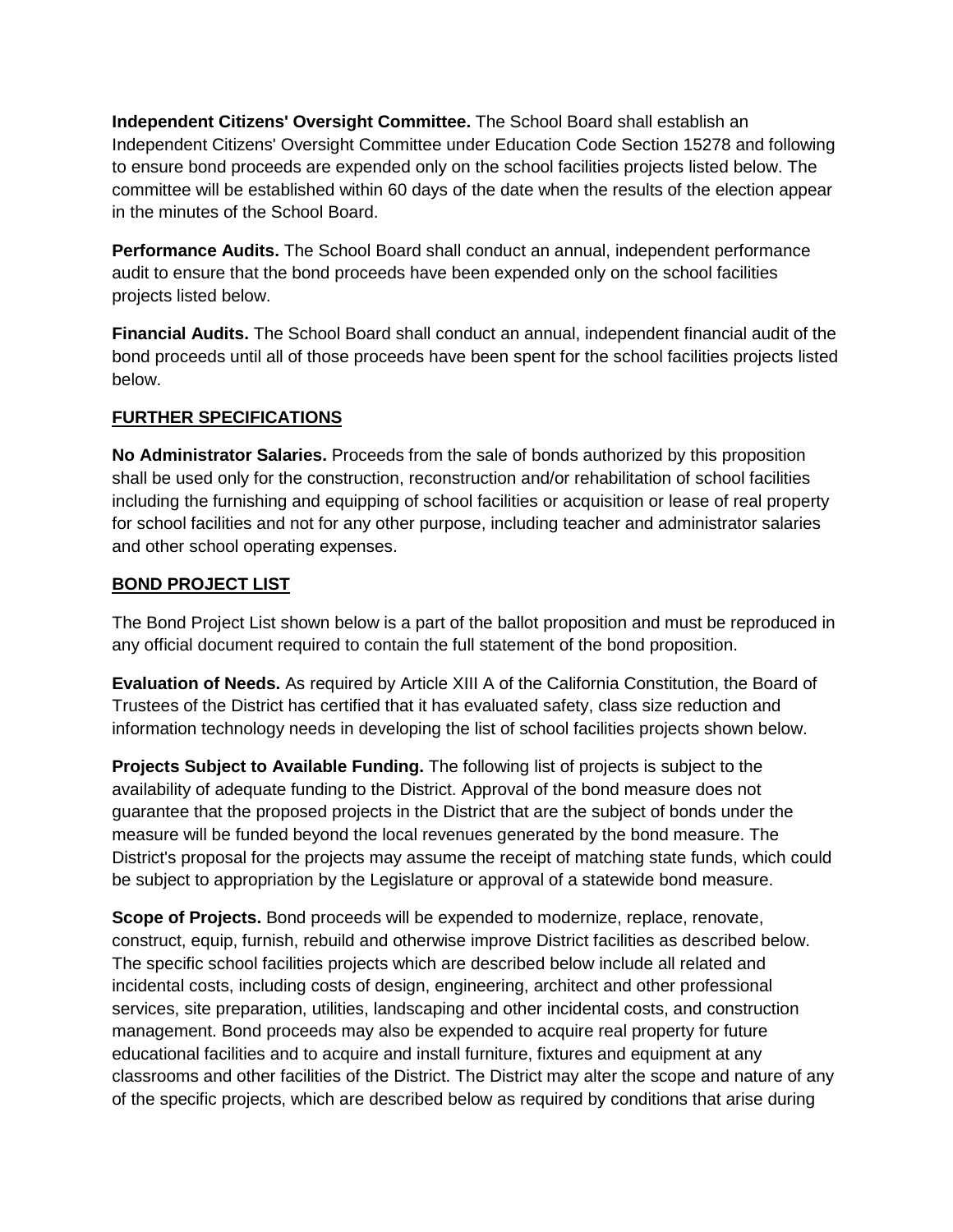**Independent Citizens' Oversight Committee.** The School Board shall establish an Independent Citizens' Oversight Committee under Education Code Section 15278 and following to ensure bond proceeds are expended only on the school facilities projects listed below. The committee will be established within 60 days of the date when the results of the election appear in the minutes of the School Board.

**Performance Audits.** The School Board shall conduct an annual, independent performance audit to ensure that the bond proceeds have been expended only on the school facilities projects listed below.

**Financial Audits.** The School Board shall conduct an annual, independent financial audit of the bond proceeds until all of those proceeds have been spent for the school facilities projects listed below.

# **FURTHER SPECIFICATIONS**

**No Administrator Salaries.** Proceeds from the sale of bonds authorized by this proposition shall be used only for the construction, reconstruction and/or rehabilitation of school facilities including the furnishing and equipping of school facilities or acquisition or lease of real property for school facilities and not for any other purpose, including teacher and administrator salaries and other school operating expenses.

### **BOND PROJECT LIST**

The Bond Project List shown below is a part of the ballot proposition and must be reproduced in any official document required to contain the full statement of the bond proposition.

**Evaluation of Needs.** As required by Article XIII A of the California Constitution, the Board of Trustees of the District has certified that it has evaluated safety, class size reduction and information technology needs in developing the list of school facilities projects shown below.

**Projects Subject to Available Funding.** The following list of projects is subject to the availability of adequate funding to the District. Approval of the bond measure does not guarantee that the proposed projects in the District that are the subject of bonds under the measure will be funded beyond the local revenues generated by the bond measure. The District's proposal for the projects may assume the receipt of matching state funds, which could be subject to appropriation by the Legislature or approval of a statewide bond measure.

**Scope of Projects.** Bond proceeds will be expended to modernize, replace, renovate, construct, equip, furnish, rebuild and otherwise improve District facilities as described below. The specific school facilities projects which are described below include all related and incidental costs, including costs of design, engineering, architect and other professional services, site preparation, utilities, landscaping and other incidental costs, and construction management. Bond proceeds may also be expended to acquire real property for future educational facilities and to acquire and install furniture, fixtures and equipment at any classrooms and other facilities of the District. The District may alter the scope and nature of any of the specific projects, which are described below as required by conditions that arise during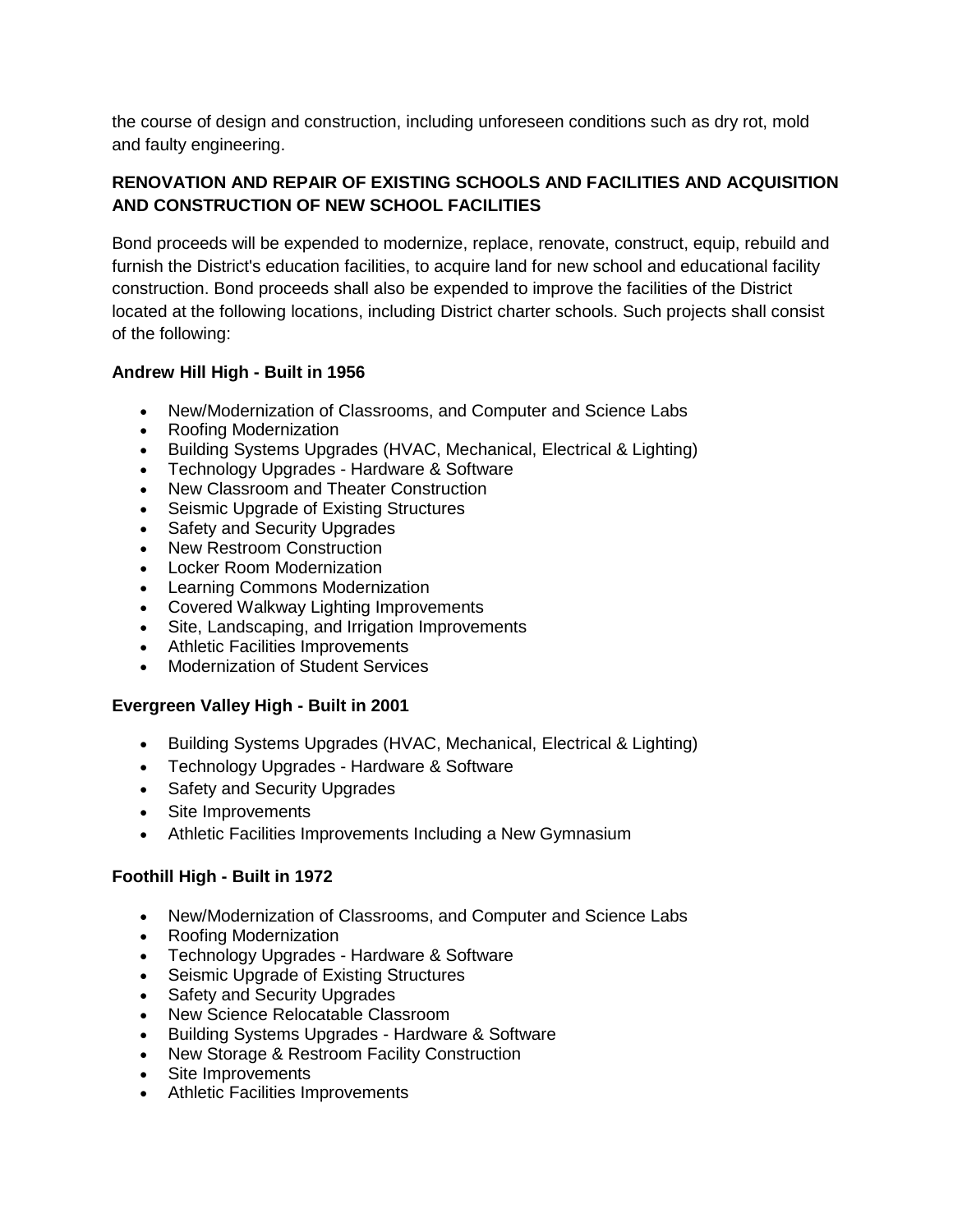the course of design and construction, including unforeseen conditions such as dry rot, mold and faulty engineering.

### **RENOVATION AND REPAIR OF EXISTING SCHOOLS AND FACILITIES AND ACQUISITION AND CONSTRUCTION OF NEW SCHOOL FACILITIES**

Bond proceeds will be expended to modernize, replace, renovate, construct, equip, rebuild and furnish the District's education facilities, to acquire land for new school and educational facility construction. Bond proceeds shall also be expended to improve the facilities of the District located at the following locations, including District charter schools. Such projects shall consist of the following:

#### **Andrew Hill High - Built in 1956**

- New/Modernization of Classrooms, and Computer and Science Labs
- Roofing Modernization
- Building Systems Upgrades (HVAC, Mechanical, Electrical & Lighting)
- Technology Upgrades Hardware & Software
- New Classroom and Theater Construction
- Seismic Upgrade of Existing Structures
- Safety and Security Upgrades
- New Restroom Construction
- Locker Room Modernization
- Learning Commons Modernization
- Covered Walkway Lighting Improvements
- Site, Landscaping, and Irrigation Improvements
- Athletic Facilities Improvements
- Modernization of Student Services

### **Evergreen Valley High - Built in 2001**

- Building Systems Upgrades (HVAC, Mechanical, Electrical & Lighting)
- Technology Upgrades Hardware & Software
- Safety and Security Upgrades
- Site Improvements
- Athletic Facilities Improvements Including a New Gymnasium

### **Foothill High - Built in 1972**

- New/Modernization of Classrooms, and Computer and Science Labs
- Roofing Modernization
- Technology Upgrades Hardware & Software
- Seismic Upgrade of Existing Structures
- Safety and Security Upgrades
- New Science Relocatable Classroom
- Building Systems Upgrades Hardware & Software
- New Storage & Restroom Facility Construction
- Site Improvements
- Athletic Facilities Improvements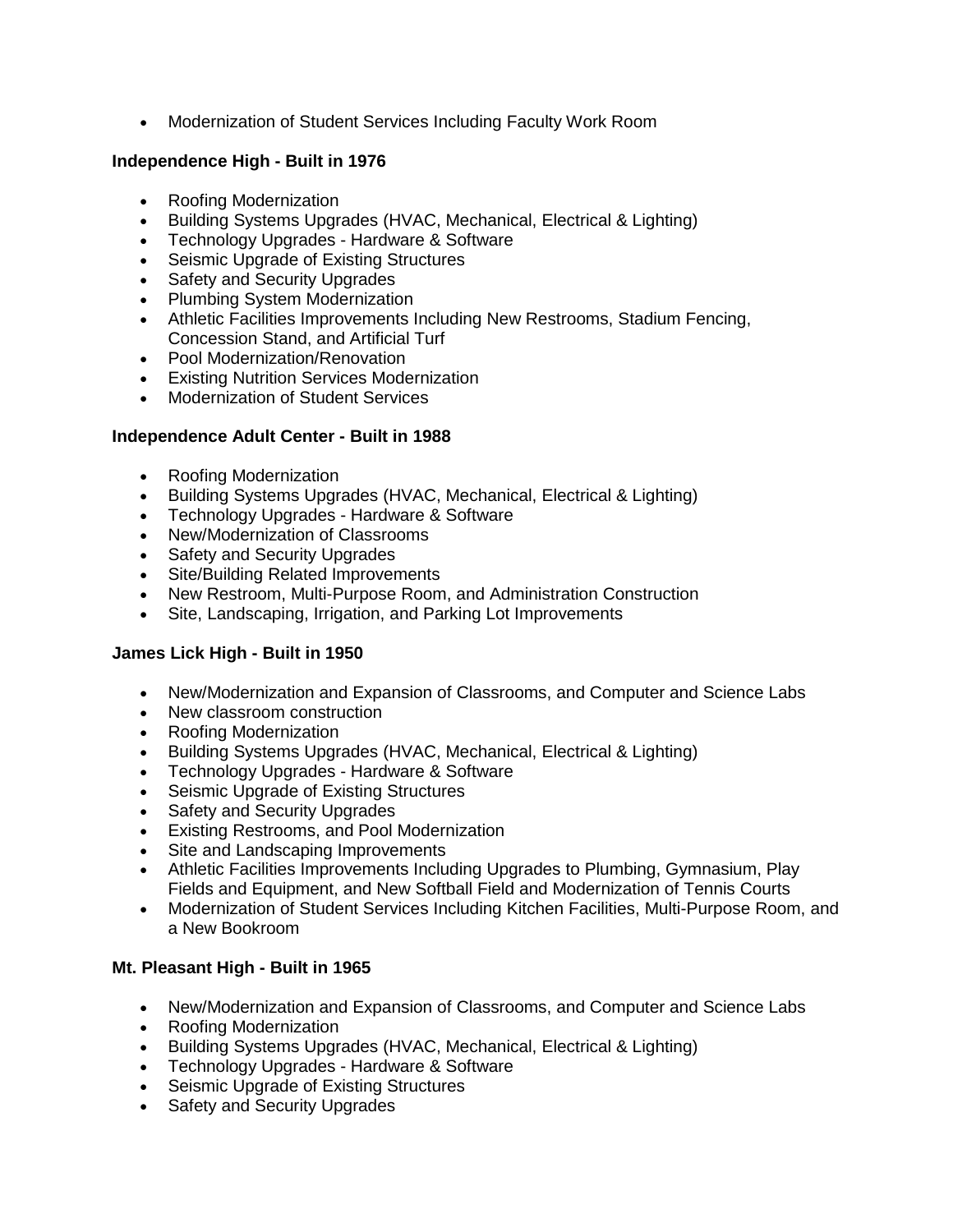• Modernization of Student Services Including Faculty Work Room

#### **Independence High - Built in 1976**

- Roofing Modernization
- Building Systems Upgrades (HVAC, Mechanical, Electrical & Lighting)
- Technology Upgrades Hardware & Software
- Seismic Upgrade of Existing Structures
- Safety and Security Upgrades
- Plumbing System Modernization
- Athletic Facilities Improvements Including New Restrooms, Stadium Fencing, Concession Stand, and Artificial Turf
- Pool Modernization/Renovation
- Existing Nutrition Services Modernization
- Modernization of Student Services

#### **Independence Adult Center - Built in 1988**

- Roofing Modernization
- Building Systems Upgrades (HVAC, Mechanical, Electrical & Lighting)
- Technology Upgrades Hardware & Software
- New/Modernization of Classrooms
- Safety and Security Upgrades
- Site/Building Related Improvements
- New Restroom, Multi-Purpose Room, and Administration Construction
- Site, Landscaping, Irrigation, and Parking Lot Improvements

### **James Lick High - Built in 1950**

- New/Modernization and Expansion of Classrooms, and Computer and Science Labs
- New classroom construction
- Roofing Modernization
- Building Systems Upgrades (HVAC, Mechanical, Electrical & Lighting)
- Technology Upgrades Hardware & Software
- Seismic Upgrade of Existing Structures
- Safety and Security Upgrades
- Existing Restrooms, and Pool Modernization
- Site and Landscaping Improvements
- Athletic Facilities Improvements Including Upgrades to Plumbing, Gymnasium, Play Fields and Equipment, and New Softball Field and Modernization of Tennis Courts
- Modernization of Student Services Including Kitchen Facilities, Multi-Purpose Room, and a New Bookroom

### **Mt. Pleasant High - Built in 1965**

- New/Modernization and Expansion of Classrooms, and Computer and Science Labs
- Roofing Modernization
- Building Systems Upgrades (HVAC, Mechanical, Electrical & Lighting)
- Technology Upgrades Hardware & Software
- Seismic Upgrade of Existing Structures
- Safety and Security Upgrades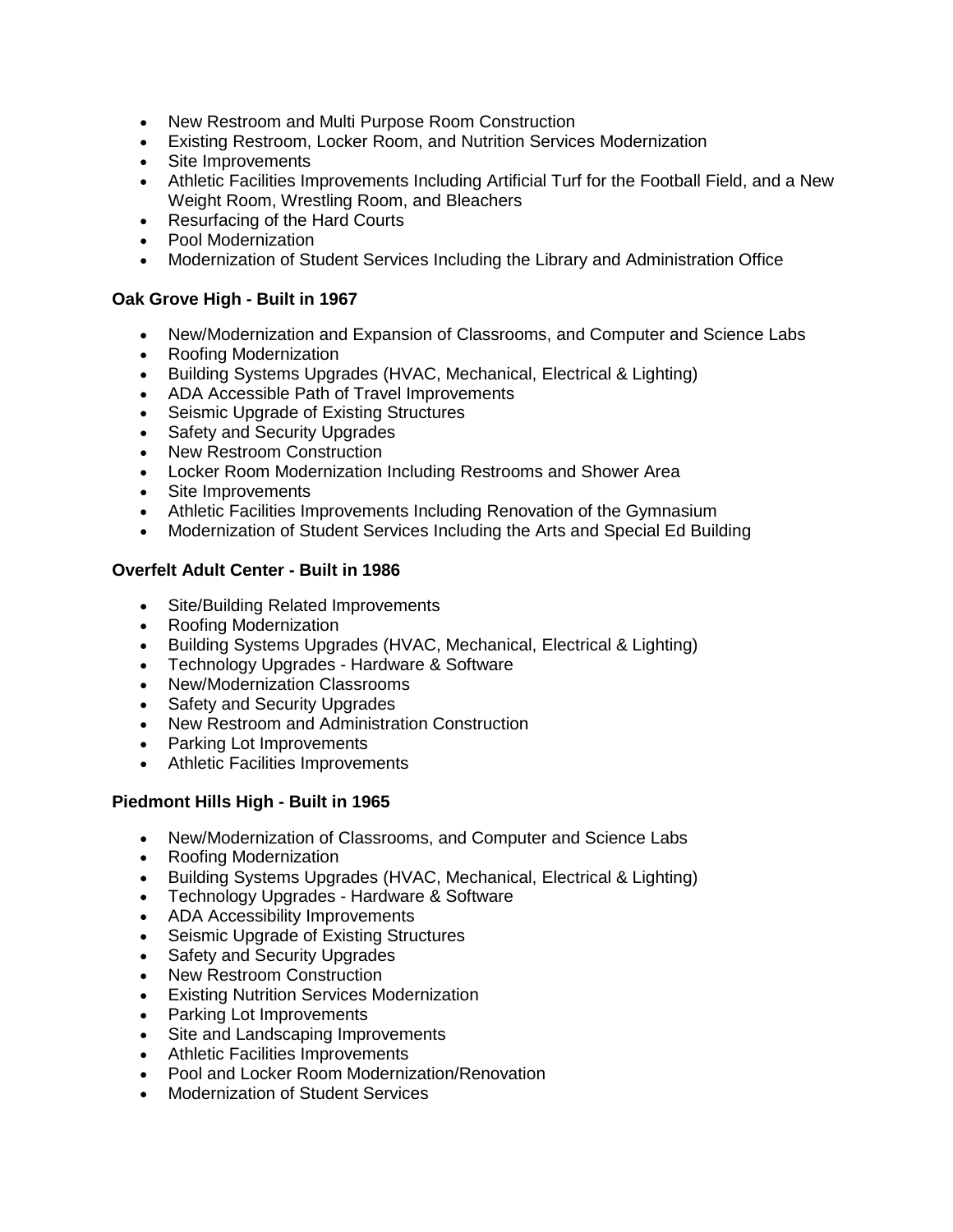- New Restroom and Multi Purpose Room Construction
- Existing Restroom, Locker Room, and Nutrition Services Modernization
- Site Improvements
- Athletic Facilities Improvements Including Artificial Turf for the Football Field, and a New Weight Room, Wrestling Room, and Bleachers
- Resurfacing of the Hard Courts
- Pool Modernization
- Modernization of Student Services Including the Library and Administration Office

#### **Oak Grove High - Built in 1967**

- New/Modernization and Expansion of Classrooms, and Computer and Science Labs
- Roofing Modernization
- Building Systems Upgrades (HVAC, Mechanical, Electrical & Lighting)
- ADA Accessible Path of Travel Improvements
- Seismic Upgrade of Existing Structures
- Safety and Security Upgrades
- New Restroom Construction
- Locker Room Modernization Including Restrooms and Shower Area
- Site Improvements
- Athletic Facilities Improvements Including Renovation of the Gymnasium
- Modernization of Student Services Including the Arts and Special Ed Building

#### **Overfelt Adult Center - Built in 1986**

- Site/Building Related Improvements
- Roofing Modernization
- Building Systems Upgrades (HVAC, Mechanical, Electrical & Lighting)
- Technology Upgrades Hardware & Software
- New/Modernization Classrooms
- Safety and Security Upgrades
- New Restroom and Administration Construction
- Parking Lot Improvements
- Athletic Facilities Improvements

### **Piedmont Hills High - Built in 1965**

- New/Modernization of Classrooms, and Computer and Science Labs
- Roofing Modernization
- Building Systems Upgrades (HVAC, Mechanical, Electrical & Lighting)
- Technology Upgrades Hardware & Software
- ADA Accessibility Improvements
- Seismic Upgrade of Existing Structures
- **Safety and Security Upgrades**
- New Restroom Construction
- Existing Nutrition Services Modernization
- Parking Lot Improvements
- Site and Landscaping Improvements
- Athletic Facilities Improvements
- Pool and Locker Room Modernization/Renovation
- Modernization of Student Services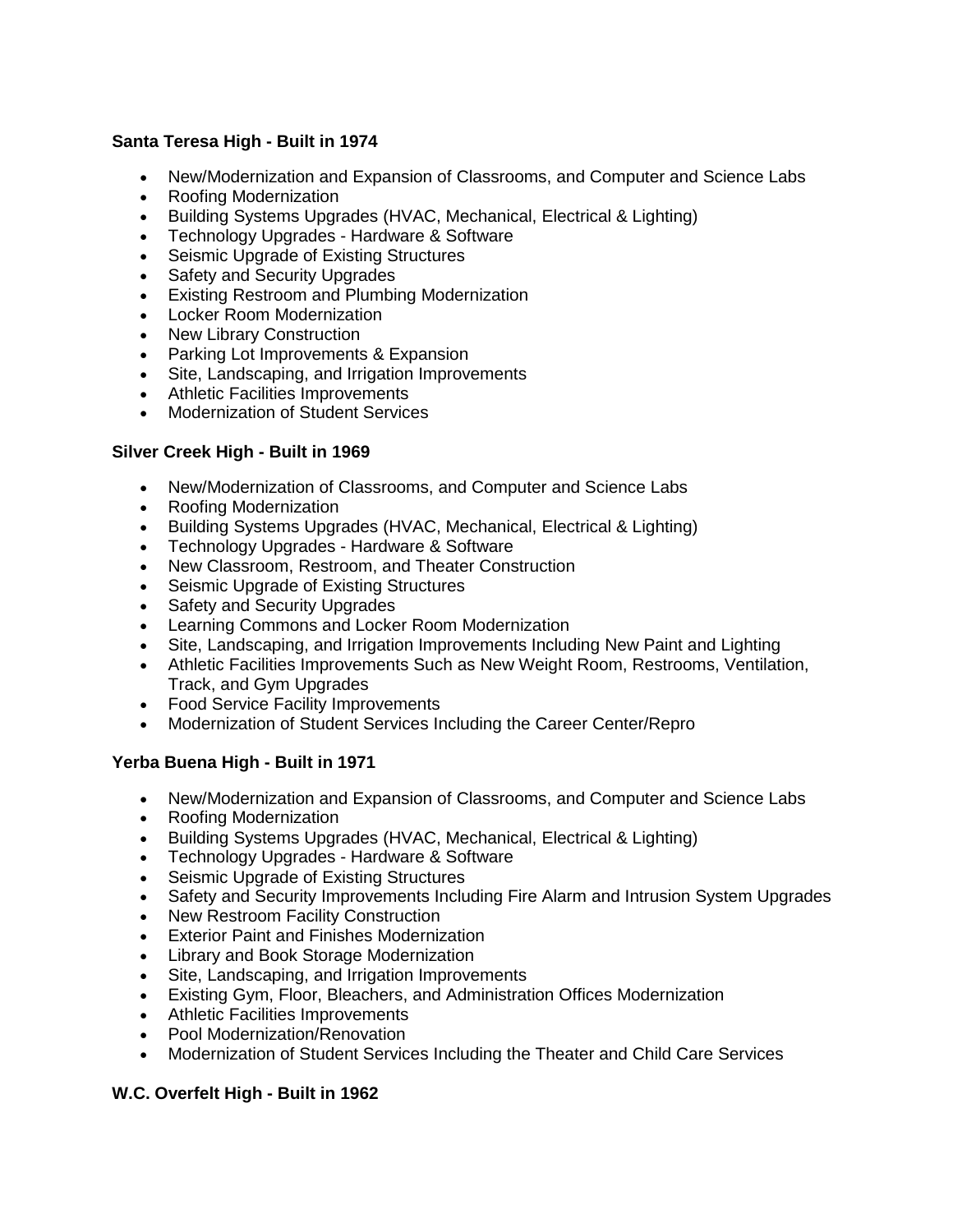#### **Santa Teresa High - Built in 1974**

- New/Modernization and Expansion of Classrooms, and Computer and Science Labs
- Roofing Modernization
- Building Systems Upgrades (HVAC, Mechanical, Electrical & Lighting)
- Technology Upgrades Hardware & Software
- Seismic Upgrade of Existing Structures
- Safety and Security Upgrades
- Existing Restroom and Plumbing Modernization
- Locker Room Modernization
- New Library Construction
- Parking Lot Improvements & Expansion
- Site, Landscaping, and Irrigation Improvements
- Athletic Facilities Improvements
- Modernization of Student Services

#### **Silver Creek High - Built in 1969**

- New/Modernization of Classrooms, and Computer and Science Labs
- Roofing Modernization
- Building Systems Upgrades (HVAC, Mechanical, Electrical & Lighting)
- Technology Upgrades Hardware & Software
- New Classroom, Restroom, and Theater Construction
- Seismic Upgrade of Existing Structures
- Safety and Security Upgrades
- Learning Commons and Locker Room Modernization
- Site, Landscaping, and Irrigation Improvements Including New Paint and Lighting
- Athletic Facilities Improvements Such as New Weight Room, Restrooms, Ventilation, Track, and Gym Upgrades
- Food Service Facility Improvements
- Modernization of Student Services Including the Career Center/Repro

### **Yerba Buena High - Built in 1971**

- New/Modernization and Expansion of Classrooms, and Computer and Science Labs
- Roofing Modernization
- Building Systems Upgrades (HVAC, Mechanical, Electrical & Lighting)
- Technology Upgrades Hardware & Software
- Seismic Upgrade of Existing Structures
- Safety and Security Improvements Including Fire Alarm and Intrusion System Upgrades
- New Restroom Facility Construction
- Exterior Paint and Finishes Modernization
- Library and Book Storage Modernization
- Site, Landscaping, and Irrigation Improvements
- Existing Gym, Floor, Bleachers, and Administration Offices Modernization
- Athletic Facilities Improvements
- Pool Modernization/Renovation
- Modernization of Student Services Including the Theater and Child Care Services

#### **W.C. Overfelt High - Built in 1962**